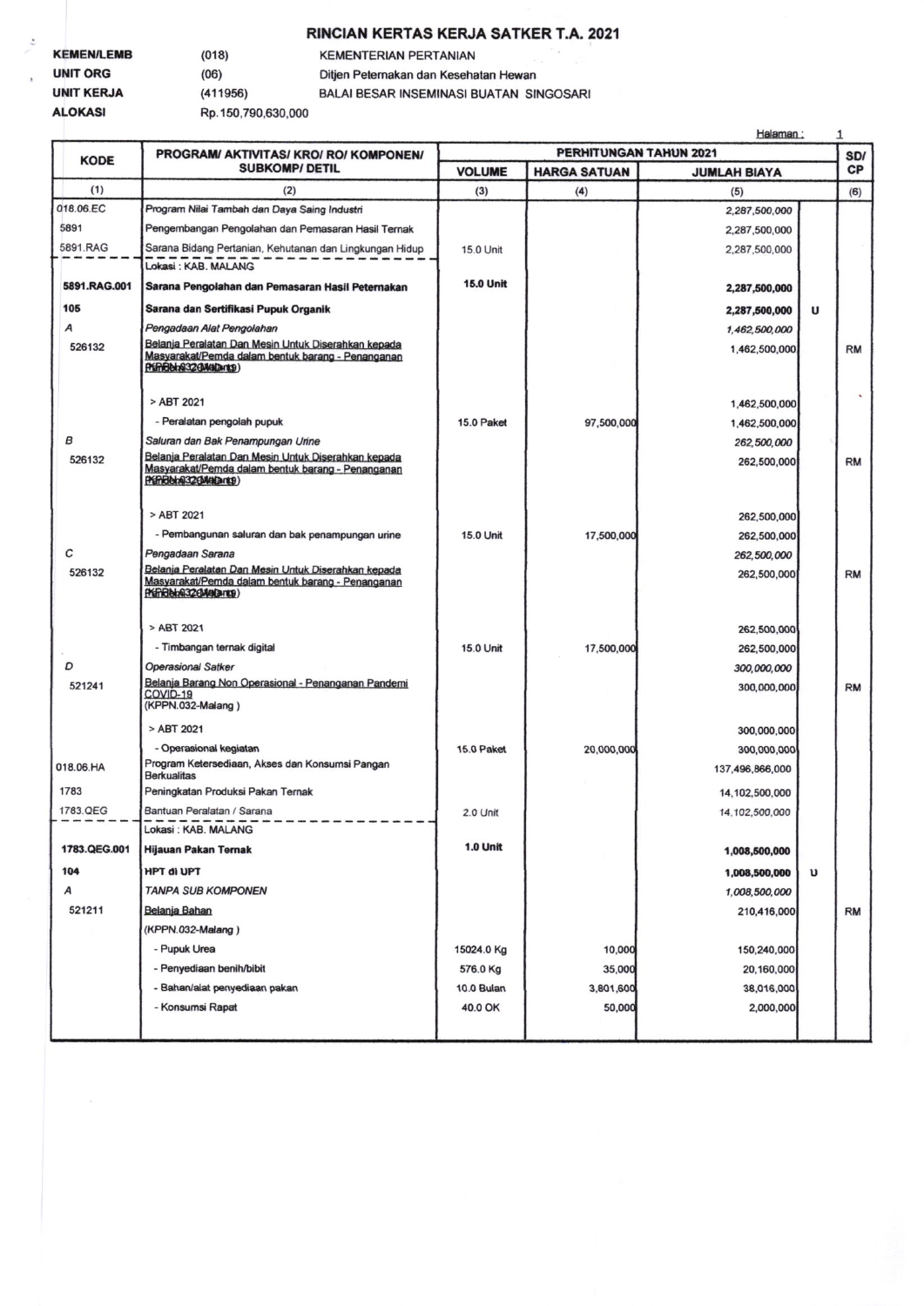## RINCIAN KERTAS KERJA SATKER T.A. 2021

| <b>KEMEN/LEMB</b> | (018)              | <b>KEMENTERIAN PERTANIAN</b>            |  |  |  |
|-------------------|--------------------|-----------------------------------------|--|--|--|
|                   |                    |                                         |  |  |  |
| <b>UNIT ORG</b>   | (06)               | Ditjen Peternakan dan Kesehatan Hewan   |  |  |  |
| <b>UNIT KERJA</b> | (411956)           | BALAI BESAR INSEMINASI BUATAN SINGOSARI |  |  |  |
| <b>ALOKASI</b>    | Rp.150,790,630,000 |                                         |  |  |  |

|              |                                                                                                                                          | Halaman:<br>$\mathbf{1}$      |                     |                            |   |           |
|--------------|------------------------------------------------------------------------------------------------------------------------------------------|-------------------------------|---------------------|----------------------------|---|-----------|
| <b>KODE</b>  | PROGRAM/ AKTIVITAS/ KRO/ RO/ KOMPONEN/<br><b>SUBKOMP/ DETIL</b>                                                                          | PERHITUNGAN TAHUN 2021<br>SD/ |                     |                            |   |           |
|              |                                                                                                                                          | <b>VOLUME</b>                 | <b>HARGA SATUAN</b> | <b>JUMLAH BIAYA</b>        |   | СP        |
| (1)          | (2)                                                                                                                                      | (3)                           | (4)                 | (5)                        |   | (6)       |
| 018.06.EC    | Program Nilai Tambah dan Daya Saing Industri                                                                                             |                               |                     | 2,287,500,000              |   |           |
| 5891         | Pengembangan Pengolahan dan Pemasaran Hasil Ternak                                                                                       |                               |                     | 2,287,500,000              |   |           |
| 5891.RAG     | Sarana Bidang Pertanian, Kehutanan dan Lingkungan Hidup<br>Lokasi: KAB, MALANG                                                           | 15.0 Unit                     |                     | 2,287,500,000              |   |           |
| 5891.RAG.001 | Sarana Pengolahan dan Pemasaran Hasil Peternakan                                                                                         | <b>15.0 Unit</b>              |                     | 2,287,500,000              |   |           |
| 105          | Sarana dan Sertifikasi Pupuk Organik                                                                                                     |                               |                     | 2,287,500,000              | U |           |
| А            | Pengadaan Alat Pengolahan                                                                                                                |                               |                     | 1,462,500,000              |   |           |
| 526132       | Belanja Peralatan Dan Mesin Untuk Diserahkan kepada<br>Masyarakat/Pemda dalam bentuk barang - Penanganan<br>(PEPPER bing 32 (BAKAD anto) |                               |                     | 1,462,500,000              |   | <b>RM</b> |
|              | > ABT 2021                                                                                                                               |                               |                     | 1,462,500,000              |   |           |
|              | - Peralatan pengolah pupuk                                                                                                               | 15.0 Paket                    | 97,500,000          | 1,462,500,000              |   |           |
| в            | Saluran dan Bak Penampungan Unne                                                                                                         |                               |                     | 262,500,000                |   |           |
| 526132       | Belanja Peralatan Dan Mesin Untuk Diserahkan kepada<br>Masyarakat/Pemda dalam bentuk barang - Penanganan<br>(Kinden@32(Malang)           |                               |                     | 262,500,000                |   | <b>RM</b> |
|              | > ABT 2021                                                                                                                               |                               |                     | 262,500,000                |   |           |
|              | - Pembangunan saluran dan bak penampungan urine                                                                                          | <b>15.0 Unit</b>              | 17,500,000          | 262,500,000                |   |           |
| C            | Pengadaan Sarana                                                                                                                         |                               |                     | 262,500,000                |   |           |
| 526132       | Belanja Peralatan Dan Mesin Untuk Diserahkan kepada                                                                                      |                               |                     | 262,500,000                |   | <b>RM</b> |
|              | Masyarakat/Pemda dalam bentuk barang - Penanganan<br>Premelelni32CMatance)<br>> ABT 2021<br>- Timbangan ternak digital                   | 15.0 Unit                     | 17,500,000          | 262,500,000<br>262,500,000 |   |           |
| D            | <b>Operasional Satker</b>                                                                                                                |                               |                     | 300,000,000                |   |           |
| 521241       | Belanja Barang Non Operasional - Penanganan Pandemi<br>COVID-19<br>(KPPN.032-Malang)                                                     |                               |                     | 300,000,000                |   | <b>RM</b> |
|              | > ABT 2021                                                                                                                               |                               |                     | 300,000,000                |   |           |
|              | - Operasional kegiatan                                                                                                                   | <b>15.0 Paket</b>             | 20,000,000          | 300,000,000                |   |           |
| 018.06.HA    | Program Ketersediaan, Akses dan Konsumsi Pangan<br><b>Berkualitas</b>                                                                    |                               |                     | 137,496,866,000            |   |           |
| 1783         | Peningkatan Produksi Pakan Ternak                                                                                                        |                               |                     | 14,102,500,000             |   |           |
| 1783.QEG     | Bantuan Peralatan / Sarana<br>Lokasi : KAB. MALANG                                                                                       | 2.0 Unit                      |                     | 14, 102, 500, 000          |   |           |
| 1783.QEG.001 | Hijauan Pakan Ternak                                                                                                                     | <b>1.0 Unit</b>               |                     | 1,008,500,000              |   |           |
| 104          | <b>HPT di UPT</b>                                                                                                                        |                               |                     | 1,008,500,000              | υ |           |
| Α            | <b>TANPA SUB KOMPONEN</b>                                                                                                                |                               |                     | 1,008,500,000              |   |           |
| 521211       | Belanja Bahan                                                                                                                            |                               |                     | 210,416,000                |   | <b>RM</b> |
|              | (KPPN.032-Malang)                                                                                                                        |                               |                     |                            |   |           |
|              | - Pupuk Urea                                                                                                                             | 15024.0 Kg                    | 10,000              | 150,240,000                |   |           |
|              | - Penyediaan benih/bibit                                                                                                                 | 576.0 Kg                      | 35,000              | 20,160,000                 |   |           |
|              | - Bahan/alat penyediaan pakan                                                                                                            | 10.0 Bulan                    | 3,801,600           | 38,016,000                 |   |           |
|              | - Konsumsi Rapat                                                                                                                         | 40.0 OK                       | 50,000              | 2,000,000                  |   |           |
|              |                                                                                                                                          |                               |                     |                            |   |           |
|              |                                                                                                                                          |                               |                     |                            |   |           |